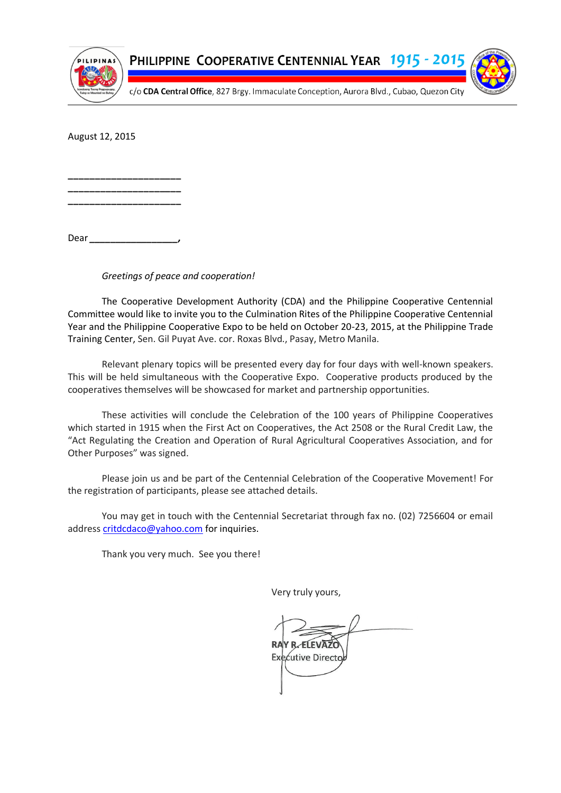

PHILIPPINE COOPERATIVE CENTENNIAL YEAR 1915 - 201



c/o CDA Central Office, 827 Brgy. Immaculate Conception, Aurora Blvd., Cubao, Quezon City

August 12, 2015

**\_\_\_\_\_\_\_\_\_\_\_\_\_\_\_\_\_\_\_\_\_ \_\_\_\_\_\_\_\_\_\_\_\_\_\_\_\_\_\_\_\_\_ \_\_\_\_\_\_\_\_\_\_\_\_\_\_\_\_\_\_\_\_\_**

Dear *\_\_\_\_\_\_\_\_\_\_\_\_\_\_\_\_\_,*

*Greetings of peace and cooperation!*

The Cooperative Development Authority (CDA) and the Philippine Cooperative Centennial Committee would like to invite you to the Culmination Rites of the Philippine Cooperative Centennial Year and the Philippine Cooperative Expo to be held on October 20-23, 2015, at the Philippine Trade Training Center, Sen. Gil Puyat Ave. cor. Roxas Blvd., Pasay, Metro Manila.

Relevant plenary topics will be presented every day for four days with well-known speakers. This will be held simultaneous with the Cooperative Expo. Cooperative products produced by the cooperatives themselves will be showcased for market and partnership opportunities.

These activities will conclude the Celebration of the 100 years of Philippine Cooperatives which started in 1915 when the First Act on Cooperatives, the Act 2508 or the Rural Credit Law, the "Act Regulating the Creation and Operation of Rural Agricultural Cooperatives Association, and for Other Purposes" was signed.

Please join us and be part of the Centennial Celebration of the Cooperative Movement! For the registration of participants, please see attached details.

You may get in touch with the Centennial Secretariat through fax no. (02) 7256604 or email address [critdcdaco@yahoo.com](mailto:critdcdaco@yahoo.com) for inquiries.

Thank you very much. See you there!

Very truly yours,

Executive Directo